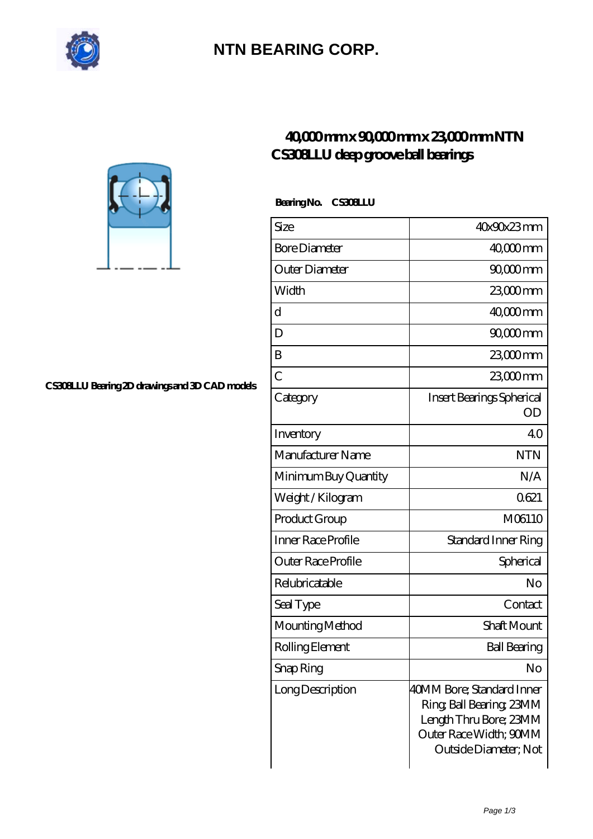

## **[NTN BEARING CORP.](https://m.andyeveland.com)**

## **[40,000 mm x 90,000 mm x 23,000 mm NTN](https://m.andyeveland.com/bs-383441-ntn-cs308llu-deep-groove-ball-bearings.html) [CS308LLU deep groove ball bearings](https://m.andyeveland.com/bs-383441-ntn-cs308llu-deep-groove-ball-bearings.html)**

| BearingNo.<br><b>CS308LU</b> |                                                                                                                                    |
|------------------------------|------------------------------------------------------------------------------------------------------------------------------------|
| Size                         | 40x90x23mm                                                                                                                         |
| <b>Bore Diameter</b>         | $4000$ mm                                                                                                                          |
| Outer Diameter               | $9000$ mm                                                                                                                          |
| Width                        | 23,000 mm                                                                                                                          |
| d                            | $4000$ mm                                                                                                                          |
| D                            | 90,000 mm                                                                                                                          |
| B                            | 23,000 mm                                                                                                                          |
| C                            | 23000mm                                                                                                                            |
| Category                     | Insert Bearings Spherical<br>OD                                                                                                    |
| Inventory                    | 40                                                                                                                                 |
| Manufacturer Name            | <b>NTN</b>                                                                                                                         |
| Minimum Buy Quantity         | N/A                                                                                                                                |
| Weight / Kilogram            | 0621                                                                                                                               |
| Product Group                | M06110                                                                                                                             |
| Inner Race Profile           | Standard Inner Ring                                                                                                                |
| Outer Race Profile           | Spherical                                                                                                                          |
| Relubricatable               | No                                                                                                                                 |
| Seal Type                    | Contact                                                                                                                            |
| Mounting Method              | <b>Shaft Mount</b>                                                                                                                 |
| Rolling Element              | <b>Ball Bearing</b>                                                                                                                |
| Snap Ring                    | No                                                                                                                                 |
| Long Description             | 40MM Bore; Standard Inner<br>Ring, Ball Bearing, 23MM<br>Length Thru Bore; 23MM<br>Outer Race Width; 90MM<br>Outside Diameter; Not |



**[CS308LLU Bearing 2D drawings and 3D CAD models](https://m.andyeveland.com/pic-383441.html)**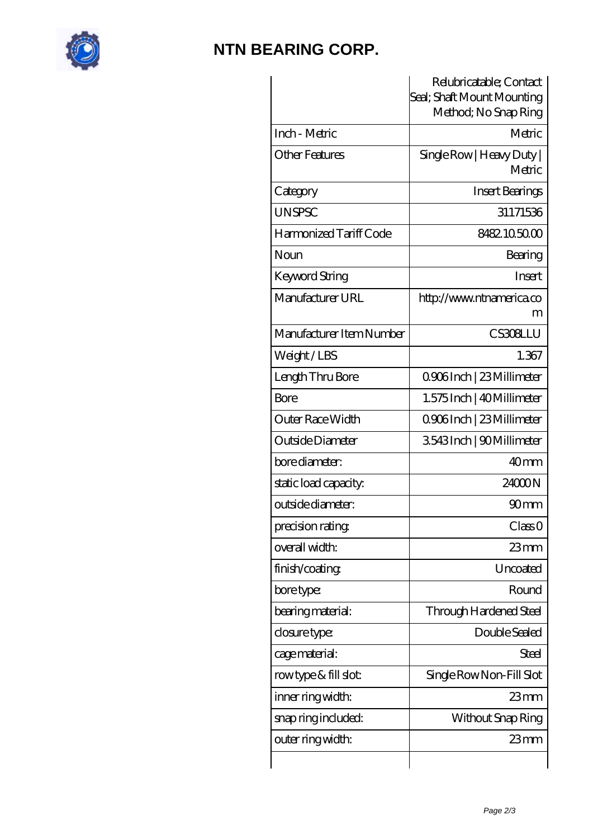

## **[NTN BEARING CORP.](https://m.andyeveland.com)**

|                          | Relubricatable; Contact<br>Seal; Shaft Mount Mounting<br>Method; No Snap Ring |
|--------------------------|-------------------------------------------------------------------------------|
| Inch - Metric            | Metric                                                                        |
| Other Features           | Single Row   Heavy Duty  <br>Metric                                           |
| Category                 | <b>Insert Bearings</b>                                                        |
| <b>UNSPSC</b>            | 31171536                                                                      |
| Harmonized Tariff Code   | 8482105000                                                                    |
| Noun                     | Bearing                                                                       |
| Keyword String           | <b>Insert</b>                                                                 |
| Manufacturer URL         | http://www.ntnamerica.co<br>m                                                 |
| Manufacturer Item Number | <b>CS308LLU</b>                                                               |
| Weight/LBS               | 1.367                                                                         |
| Length Thru Bore         | Q906Inch   23 Millimeter                                                      |
| Bore                     | 1.575 Inch   40 Millimeter                                                    |
| Outer Race Width         | 0906Inch   23 Millimeter                                                      |
| Outside Diameter         | 3543Inch   90Millimeter                                                       |
| bore diameter:           | 40 <sub>mm</sub>                                                              |
| static load capacity.    | 24000N                                                                        |
| outside diameter:        | 90 <sub>mm</sub>                                                              |
| precision rating         | ClassO                                                                        |
| overall width:           | 23mm                                                                          |
| finish/coating           | Uncoated                                                                      |
| bore type:               | Round                                                                         |
| bearing material:        | Through Hardened Steel                                                        |
| closure type:            | Double Sealed                                                                 |
| cage material:           | Steel                                                                         |
| rowtype & fill slot:     | Single Row Non-Fill Slot                                                      |
| inner ring width:        | 23mm                                                                          |
| snap ring included:      | Without Snap Ring                                                             |
| outer ring width:        | $23$ mm                                                                       |
|                          |                                                                               |